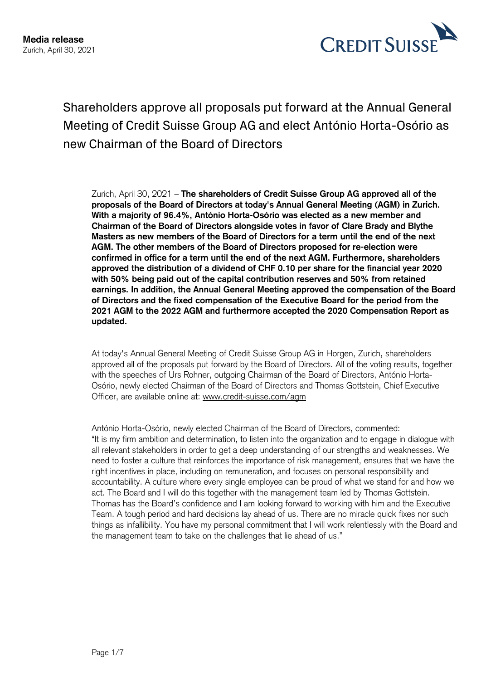

Shareholders approve all proposals put forward at the Annual General Meeting of Credit Suisse Group AG and elect António Horta-Osório as new Chairman of the Board of Directors

Zurich, April 30, 2021 – **The shareholders of Credit Suisse Group AG approved all of the proposals of the Board of Directors at today's Annual General Meeting (AGM) in Zurich. With a majority of 96.4%, António Horta-Osório was elected as a new member and Chairman of the Board of Directors alongside votes in favor of Clare Brady and Blythe Masters as new members of the Board of Directors for a term until the end of the next AGM. The other members of the Board of Directors proposed for re-election were confirmed in office for a term until the end of the next AGM. Furthermore, shareholders approved the distribution of a dividend of CHF 0.10 per share for the financial year 2020 with 50% being paid out of the capital contribution reserves and 50% from retained earnings. In addition, the Annual General Meeting approved the compensation of the Board of Directors and the fixed compensation of the Executive Board for the period from the 2021 AGM to the 2022 AGM and furthermore accepted the 2020 Compensation Report as updated.** 

At today's Annual General Meeting of Credit Suisse Group AG in Horgen, Zurich, shareholders approved all of the proposals put forward by the Board of Directors. All of the voting results, together with the speeches of Urs Rohner, outgoing Chairman of the Board of Directors, António Horta-Osório, newly elected Chairman of the Board of Directors and Thomas Gottstein, Chief Executive Officer, are available online at: [www.credit-suisse.com/agm](https://www.credit-suisse.com/corporate/en/investor-relations/annual-general-meeting.html)

António Horta-Osório, newly elected Chairman of the Board of Directors, commented: "It is my firm ambition and determination, to listen into the organization and to engage in dialogue with all relevant stakeholders in order to get a deep understanding of our strengths and weaknesses. We need to foster a culture that reinforces the importance of risk management, ensures that we have the right incentives in place, including on remuneration, and focuses on personal responsibility and accountability. A culture where every single employee can be proud of what we stand for and how we act. The Board and I will do this together with the management team led by Thomas Gottstein. Thomas has the Board's confidence and I am looking forward to working with him and the Executive Team. A tough period and hard decisions lay ahead of us. There are no miracle quick fixes nor such things as infallibility. You have my personal commitment that I will work relentlessly with the Board and the management team to take on the challenges that lie ahead of us."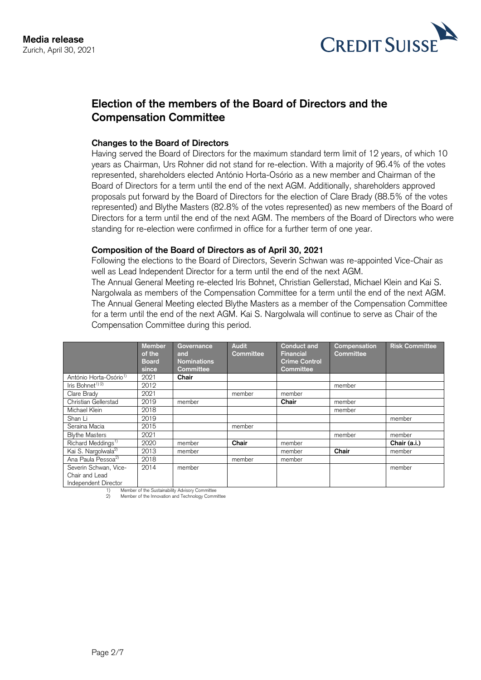

# **Election of the members of the Board of Directors and the Compensation Committee**

### **Changes to the Board of Directors**

Having served the Board of Directors for the maximum standard term limit of 12 years, of which 10 years as Chairman, Urs Rohner did not stand for re-election. With a majority of 96.4% of the votes represented, shareholders elected António Horta-Osório as a new member and Chairman of the Board of Directors for a term until the end of the next AGM. Additionally, shareholders approved proposals put forward by the Board of Directors for the election of Clare Brady (88.5% of the votes represented) and Blythe Masters (82.8% of the votes represented) as new members of the Board of Directors for a term until the end of the next AGM. The members of the Board of Directors who were standing for re-election were confirmed in office for a further term of one year.

### **Composition of the Board of Directors as of April 30, 2021**

Following the elections to the Board of Directors, Severin Schwan was re-appointed Vice-Chair as well as Lead Independent Director for a term until the end of the next AGM.

The Annual General Meeting re-elected Iris Bohnet, Christian Gellerstad, Michael Klein and Kai S. Nargolwala as members of the Compensation Committee for a term until the end of the next AGM. The Annual General Meeting elected Blythe Masters as a member of the Compensation Committee for a term until the end of the next AGM. Kai S. Nargolwala will continue to serve as Chair of the Compensation Committee during this period.

|                                                                 | Member<br>of the<br><b>Board</b><br>since | Governance<br>and<br><b>Nominations</b><br><b>Committee</b> | <b>Audit</b><br><b>Committee</b> | <b>Conduct and</b><br><b>Financial</b><br><b>Crime Control</b><br>Committee | Compensation<br><b>Committee</b> | <b>Risk Committee</b> |
|-----------------------------------------------------------------|-------------------------------------------|-------------------------------------------------------------|----------------------------------|-----------------------------------------------------------------------------|----------------------------------|-----------------------|
| António Horta-Osório <sup>1)</sup>                              | 2021                                      | Chair                                                       |                                  |                                                                             |                                  |                       |
| Iris Bohnet <sup><math>1)</math></sup> <sup>2)</sup>            | 2012                                      |                                                             |                                  |                                                                             | member                           |                       |
| Clare Brady                                                     | 2021                                      |                                                             | member                           | member                                                                      |                                  |                       |
| Christian Gellerstad                                            | 2019                                      | member                                                      |                                  | Chair                                                                       | member                           |                       |
| Michael Klein                                                   | 2018                                      |                                                             |                                  |                                                                             | member                           |                       |
| Shan Li                                                         | 2019                                      |                                                             |                                  |                                                                             |                                  | member                |
| Seraina Macia                                                   | 2015                                      |                                                             | member                           |                                                                             |                                  |                       |
| <b>Blythe Masters</b>                                           | 2021                                      |                                                             |                                  |                                                                             | member                           | member                |
| Richard Meddings <sup>1)</sup>                                  | 2020                                      | member                                                      | Chair                            | member                                                                      |                                  | Chair (a.i.)          |
| Kai S. Nargolwala <sup>2)</sup>                                 | 2013                                      | member                                                      |                                  | member                                                                      | Chair                            | member                |
| Ana Paula Pessoa <sup>2)</sup>                                  | 2018                                      |                                                             | member                           | member                                                                      |                                  |                       |
| Severin Schwan, Vice-<br>Chair and Lead<br>Independent Director | 2014                                      | member                                                      |                                  |                                                                             |                                  | member                |

1) Member of the Sustainability Advisory Committee<br>2) Member of the Innovation and Technology Comm 2) Member of the Innovation and Technology Committee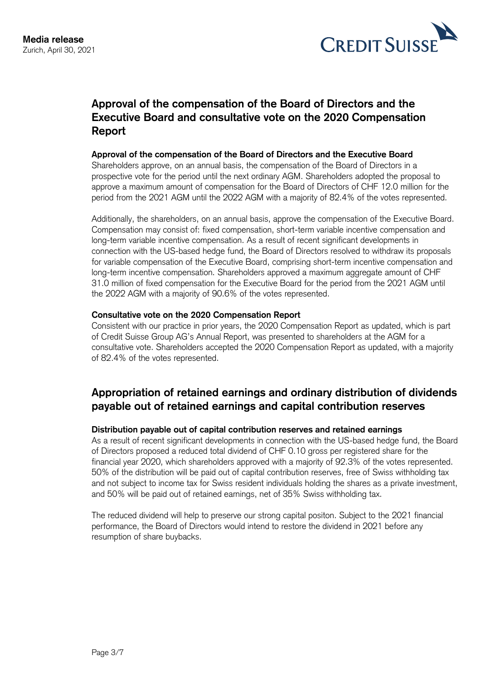

# **Approval of the compensation of the Board of Directors and the Executive Board and consultative vote on the 2020 Compensation Report**

## **Approval of the compensation of the Board of Directors and the Executive Board**

Shareholders approve, on an annual basis, the compensation of the Board of Directors in a prospective vote for the period until the next ordinary AGM. Shareholders adopted the proposal to approve a maximum amount of compensation for the Board of Directors of CHF 12.0 million for the period from the 2021 AGM until the 2022 AGM with a majority of 82.4% of the votes represented.

Additionally, the shareholders, on an annual basis, approve the compensation of the Executive Board. Compensation may consist of: fixed compensation, short-term variable incentive compensation and long-term variable incentive compensation. As a result of recent significant developments in connection with the US-based hedge fund, the Board of Directors resolved to withdraw its proposals for variable compensation of the Executive Board, comprising short-term incentive compensation and long-term incentive compensation. Shareholders approved a maximum aggregate amount of CHF 31.0 million of fixed compensation for the Executive Board for the period from the 2021 AGM until the 2022 AGM with a majority of 90.6% of the votes represented.

## **Consultative vote on the 2020 Compensation Report**

Consistent with our practice in prior years, the 2020 Compensation Report as updated, which is part of Credit Suisse Group AG's Annual Report, was presented to shareholders at the AGM for a consultative vote. Shareholders accepted the 2020 Compensation Report as updated, with a majority of 82.4% of the votes represented.

# **Appropriation of retained earnings and ordinary distribution of dividends payable out of retained earnings and capital contribution reserves**

## **Distribution payable out of capital contribution reserves and retained earnings**

As a result of recent significant developments in connection with the US-based hedge fund, the Board of Directors proposed a reduced total dividend of CHF 0.10 gross per registered share for the financial year 2020, which shareholders approved with a majority of 92.3% of the votes represented. 50% of the distribution will be paid out of capital contribution reserves, free of Swiss withholding tax and not subject to income tax for Swiss resident individuals holding the shares as a private investment, and 50% will be paid out of retained earnings, net of 35% Swiss withholding tax.

The reduced dividend will help to preserve our strong capital positon. Subject to the 2021 financial performance, the Board of Directors would intend to restore the dividend in 2021 before any resumption of share buybacks.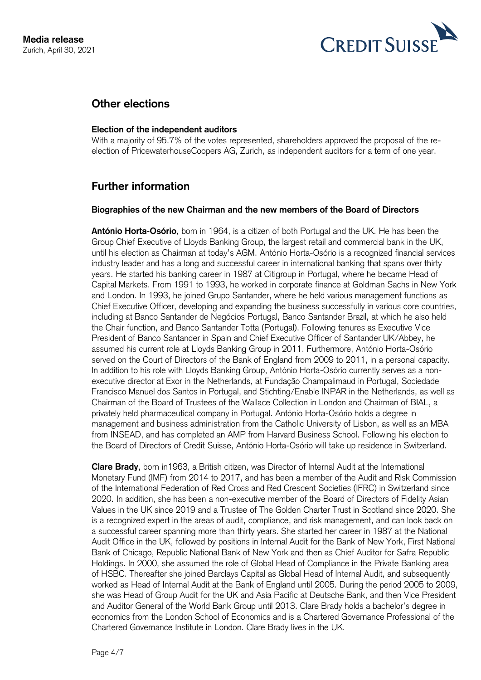

## **Other elections**

## **Election of the independent auditors**

With a majority of 95.7% of the votes represented, shareholders approved the proposal of the reelection of PricewaterhouseCoopers AG, Zurich, as independent auditors for a term of one year.

# **Further information**

## **Biographies of the new Chairman and the new members of the Board of Directors**

**António Horta-Osório**, born in 1964, is a citizen of both Portugal and the UK. He has been the Group Chief Executive of Lloyds Banking Group, the largest retail and commercial bank in the UK, until his election as Chairman at today's AGM. António Horta-Osório is a recognized financial services industry leader and has a long and successful career in international banking that spans over thirty years. He started his banking career in 1987 at Citigroup in Portugal, where he became Head of Capital Markets. From 1991 to 1993, he worked in corporate finance at Goldman Sachs in New York and London. In 1993, he joined Grupo Santander, where he held various management functions as Chief Executive Officer, developing and expanding the business successfully in various core countries, including at Banco Santander de Negócios Portugal, Banco Santander Brazil, at which he also held the Chair function, and Banco Santander Totta (Portugal). Following tenures as Executive Vice President of Banco Santander in Spain and Chief Executive Officer of Santander UK/Abbey, he assumed his current role at Lloyds Banking Group in 2011. Furthermore, António Horta-Osório served on the Court of Directors of the Bank of England from 2009 to 2011, in a personal capacity. In addition to his role with Lloyds Banking Group, António Horta-Osório currently serves as a nonexecutive director at Exor in the Netherlands, at Fundação Champalimaud in Portugal, Sociedade Francisco Manuel dos Santos in Portugal, and Stichting/Enable INPAR in the Netherlands, as well as Chairman of the Board of Trustees of the Wallace Collection in London and Chairman of BIAL, a privately held pharmaceutical company in Portugal. António Horta-Osório holds a degree in management and business administration from the Catholic University of Lisbon, as well as an MBA from INSEAD, and has completed an AMP from Harvard Business School. Following his election to the Board of Directors of Credit Suisse, António Horta-Osório will take up residence in Switzerland.

**Clare Brady**, born in1963, a British citizen, was Director of Internal Audit at the International Monetary Fund (IMF) from 2014 to 2017, and has been a member of the Audit and Risk Commission of the International Federation of Red Cross and Red Crescent Societies (IFRC) in Switzerland since 2020. In addition, she has been a non-executive member of the Board of Directors of Fidelity Asian Values in the UK since 2019 and a Trustee of The Golden Charter Trust in Scotland since 2020. She is a recognized expert in the areas of audit, compliance, and risk management, and can look back on a successful career spanning more than thirty years. She started her career in 1987 at the National Audit Office in the UK, followed by positions in Internal Audit for the Bank of New York, First National Bank of Chicago, Republic National Bank of New York and then as Chief Auditor for Safra Republic Holdings. In 2000, she assumed the role of Global Head of Compliance in the Private Banking area of HSBC. Thereafter she joined Barclays Capital as Global Head of Internal Audit, and subsequently worked as Head of Internal Audit at the Bank of England until 2005. During the period 2005 to 2009, she was Head of Group Audit for the UK and Asia Pacific at Deutsche Bank, and then Vice President and Auditor General of the World Bank Group until 2013. Clare Brady holds a bachelor's degree in economics from the London School of Economics and is a Chartered Governance Professional of the Chartered Governance Institute in London. Clare Brady lives in the UK.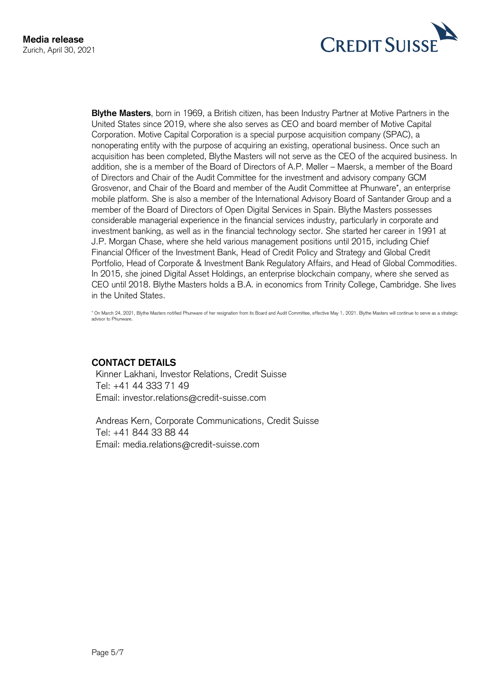

**Blythe Masters**, born in 1969, a British citizen, has been Industry Partner at Motive Partners in the United States since 2019, where she also serves as CEO and board member of Motive Capital Corporation. Motive Capital Corporation is a special purpose acquisition company (SPAC), a nonoperating entity with the purpose of acquiring an existing, operational business. Once such an acquisition has been completed, Blythe Masters will not serve as the CEO of the acquired business. In addition, she is a member of the Board of Directors of A.P. Møller – Maersk, a member of the Board of Directors and Chair of the Audit Committee for the investment and advisory company GCM Grosvenor, and Chair of the Board and member of the Audit Committee at Phunware\*, an enterprise mobile platform. She is also a member of the International Advisory Board of Santander Group and a member of the Board of Directors of Open Digital Services in Spain. Blythe Masters possesses considerable managerial experience in the financial services industry, particularly in corporate and investment banking, as well as in the financial technology sector. She started her career in 1991 at J.P. Morgan Chase, where she held various management positions until 2015, including Chief Financial Officer of the Investment Bank, Head of Credit Policy and Strategy and Global Credit Portfolio, Head of Corporate & Investment Bank Regulatory Affairs, and Head of Global Commodities. In 2015, she joined Digital Asset Holdings, an enterprise blockchain company, where she served as CEO until 2018. Blythe Masters holds a B.A. in economics from Trinity College, Cambridge. She lives in the United States.

\* On March 24, 2021, Blythe Masters notified Phunware of her resignation from its Board and Audit Committee, effective May 1, 2021. Blythe Masters will continue to serve as a strategic advisor to Phunware.

## **CONTACT DETAILS**

Kinner Lakhani, Investor Relations, Credit Suisse Tel: +41 44 333 71 49 Email: investor.relations@credit-suisse.com

Andreas Kern, Corporate Communications, Credit Suisse Tel: +41 844 33 88 44 Email: media.relations@credit-suisse.com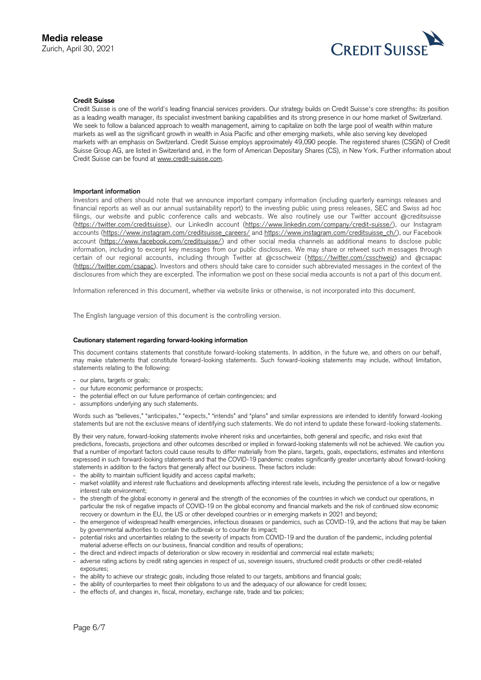

### **Credit Suisse**

Credit Suisse is one of the world's leading financial services providers. Our strategy builds on Credit Suisse's core strengths: its position as a leading wealth manager, its specialist investment banking capabilities and its strong presence in our home market of Switzerland. We seek to follow a balanced approach to wealth management, aiming to capitalize on both the large pool of wealth within mature markets as well as the significant growth in wealth in Asia Pacific and other emerging markets, while also serving key developed markets with an emphasis on Switzerland. Credit Suisse employs approximately 49,090 people. The registered shares (CSGN) of Credit Suisse Group AG, are listed in Switzerland and, in the form of American Depositary Shares (CS), in New York. Further information about Credit Suisse can be found at [www.credit-suisse.com.](file:///C:/Users/ijavaid/AppData/Local/Microsoft/Windows/INetCache/Content.Outlook/JM07PTMK/www.credit-suisse.com)

#### **Important information**

Investors and others should note that we announce important company information (including quarterly earnings releases and financial reports as well as our annual sustainability report) to the investing public using press releases, SEC and Swiss ad hoc filings, our website and public conference calls and webcasts. We also routinely use our Twitter account @creditsuisse [\(https://twitter.com/creditsuisse\)](https://twitter.com/creditsuisse), our LinkedIn account [\(https://www.linkedin.com/company/credit-suisse/\)](https://www.linkedin.com/company/credit-suisse/), our Instagram accounts [\(https://www.instagram.com/creditsuisse\\_careers/](https://www.instagram.com/creditsuisse_careers/) and [https://www.instagram.com/creditsuisse\\_ch/\)](https://www.instagram.com/creditsuisse_ch/), our Facebook account [\(https://www.facebook.com/creditsuisse/\)](https://www.facebook.com/creditsuisse/) and other social media channels as additional means to disclose public information, including to excerpt key messages from our public disclosures. We may share or retweet such messages through certain of our regional accounts, including through Twitter at @csschweiz [\(https://twitter.com/csschweiz\)](https://twitter.com/csschweiz) and @csapac [\(https://twitter.com/csapac\)](https://twitter.com/csapac). Investors and others should take care to consider such abbreviated messages in the context of the disclosures from which they are excerpted. The information we post on these social media accounts is not a part of this document.

Information referenced in this document, whether via website links or otherwise, is not incorporated into this document.

The English language version of this document is the controlling version.

#### **Cautionary statement regarding forward-looking information**

This document contains statements that constitute forward-looking statements. In addition, in the future we, and others on our behalf, may make statements that constitute forward-looking statements. Such forward-looking statements may include, without limitation, statements relating to the following:

- our plans, targets or goals;
- our future economic performance or prospects;
- the potential effect on our future performance of certain contingencies; and
- assumptions underlying any such statements.

Words such as "believes," "anticipates," "expects," "intends" and "plans" and similar expressions are intended to identify forward -looking statements but are not the exclusive means of identifying such statements. We do not intend to update these forward -looking statements.

By their very nature, forward-looking statements involve inherent risks and uncertainties, both general and specific, and risks exist that predictions, forecasts, projections and other outcomes described or implied in forward-looking statements will not be achieved. We caution you that a number of important factors could cause results to differ materially from the plans, targets, goals, expectations, estimates and intentions expressed in such forward-looking statements and that the COVID-19 pandemic creates significantly greater uncertainty about forward-looking statements in addition to the factors that generally affect our business. These factors include:

- the ability to maintain sufficient liquidity and access capital markets;
- market volatility and interest rate fluctuations and developments affecting interest rate levels, including the persistence of a low or negative interest rate environment;
- the strength of the global economy in general and the strength of the economies of the countries in which we conduct our operations, in particular the risk of negative impacts of COVID-19 on the global economy and financial markets and the risk of continued slow economic recovery or downturn in the EU, the US or other developed countries or in emerging markets in 2021 and beyond;
- the emergence of widespread health emergencies, infectious diseases or pandemics, such as COVID-19, and the actions that may be taken by governmental authorities to contain the outbreak or to counter its impact;
- potential risks and uncertainties relating to the severity of impacts from COVID-19 and the duration of the pandemic, including potential material adverse effects on our business, financial condition and results of operations;
- the direct and indirect impacts of deterioration or slow recovery in residential and commercial real estate markets;
- adverse rating actions by credit rating agencies in respect of us, sovereign issuers, structured credit products or other credit-related exposures;
- the ability to achieve our strategic goals, including those related to our targets, ambitions and financial goals;
- the ability of counterparties to meet their obligations to us and the adequacy of our allowance for credit losses;
- the effects of, and changes in, fiscal, monetary, exchange rate, trade and tax policies;